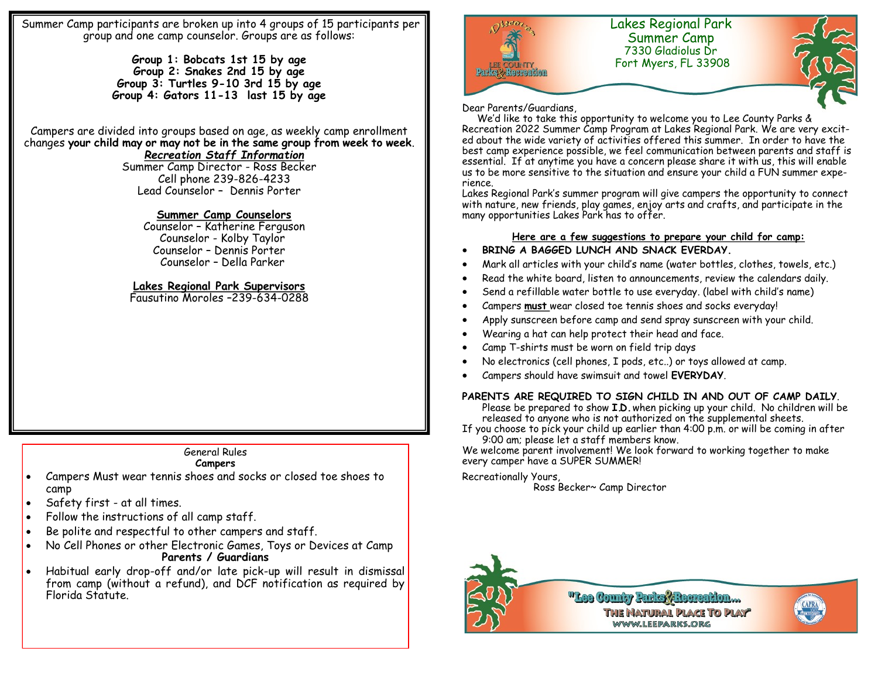Summer Camp participants are broken up into 4 groups of 15 participants per group and one camp counselor. Groups are as follows:

> **Group 1: Bobcats 1st 15 by age Group 2: Snakes 2nd 15 by age Group 3: Turtles 9-10 3rd 15 by age Group 4: Gators 11-13 last 15 by age**

Campers are divided into groups based on age, as weekly camp enrollment changes **your child may or may not be in the same group from week to week**.

## *Recreation Staff Information*

Summer Camp Director - Ross Becker Cell phone 239-826-4233 Lead Counselor – Dennis Porter

#### **Summer Camp Counselors**

 Counselor – Katherine Ferguson Counselor - Kolby Taylor Counselor – Dennis Porter Counselor – Della Parker

### **Lakes Regional Park Supervisors**

Fausutino Moroles –239-634-0288

## General Rules

#### **Campers**

- Campers Must wear tennis shoes and socks or closed toe shoes to camp
- Safety first at all times.
- Follow the instructions of all camp staff.
- Be polite and respectful to other campers and staff.
- No Cell Phones or other Electronic Games, Toys or Devices at Camp **Parents / Guardians**
- Habitual early drop-off and/or late pick-up will result in dismissal from camp (without a refund), and DCF notification as required by Florida Statute.



#### Dear Parents/Guardians,

 We'd like to take this opportunity to welcome you to Lee County Parks & Recreation 2022 Summer Camp Program at Lakes Regional Park. We are very excited about the wide variety of activities offered this summer. In order to have the best camp experience possible, we feel communication between parents and staff is essential. If at anytime you have a concern please share it with us, this will enable us to be more sensitive to the situation and ensure your child a FUN summer experience.

Lakes Regional Park's summer program will give campers the opportunity to connect with nature, new friends, play games, enjoy arts and crafts, and participate in the many opportunities Lakes Park has to offer.

## **Here are a few suggestions to prepare your child for camp:**

- **BRING A BAGGED LUNCH AND SNACK EVERDAY.**
- Mark all articles with your child's name (water bottles, clothes, towels, etc.)
- Read the white board, listen to announcements, review the calendars daily.
- Send a refillable water bottle to use everyday. (label with child's name)
- Campers **must** wear closed toe tennis shoes and socks everyday!
- Apply sunscreen before camp and send spray sunscreen with your child.
- Wearing a hat can help protect their head and face.
- Camp T-shirts must be worn on field trip days
- No electronics (cell phones, I pods, etc..) or toys allowed at camp.
- Campers should have swimsuit and towel **EVERYDAY**.

#### **PARENTS ARE REQUIRED TO SIGN CHILD IN AND OUT OF CAMP DAILY**.

Please be prepared to show **I.D.** when picking up your child. No children will be released to anyone who is not authorized on the supplemental sheets.

If you choose to pick your child up earlier than 4:00 p.m. or will be coming in after 9:00 am; please let a staff members know.

We welcome parent involvement! We look forward to working together to make every camper have a SUPER SUMMER!

Recreationally Yours, Ross Becker~ Camp Director